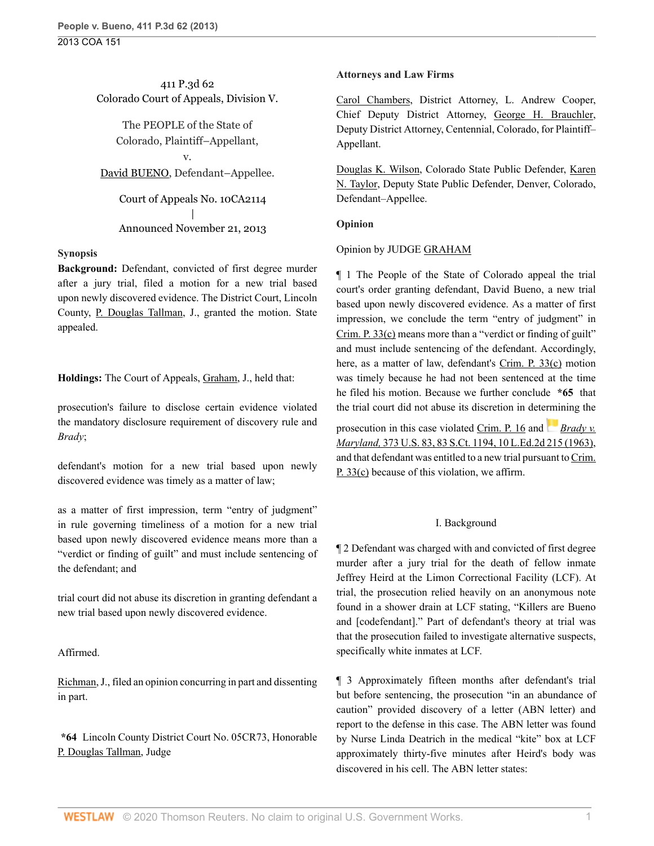## 411 P.3d 62 Colorado Court of Appeals, Division V.

The PEOPLE of the State of Colorado, Plaintiff–Appellant, v.

## [David BUENO](http://www.westlaw.com/Search/Results.html?query=advanced%3a+OAID(5041010413)&saveJuris=False&contentType=BUSINESS-INVESTIGATOR&startIndex=1&contextData=(sc.Default)&categoryPageUrl=Home%2fCompanyInvestigator&originationContext=document&vr=3.0&rs=cblt1.0&transitionType=DocumentItem), Defendant–Appellee.

Court of Appeals No. 10CA2114 | Announced November 21, 2013

### **Synopsis**

**Background:** Defendant, convicted of first degree murder after a jury trial, filed a motion for a new trial based upon newly discovered evidence. The District Court, Lincoln County, [P. Douglas Tallman](http://www.westlaw.com/Link/Document/FullText?findType=h&pubNum=176284&cite=0167995301&originatingDoc=I02f4eb53529f11e39ac8bab74931929c&refType=RQ&originationContext=document&vr=3.0&rs=cblt1.0&transitionType=DocumentItem&contextData=(sc.Default)), J., granted the motion. State appealed.

### **Holdings:** The Court of Appeals, [Graham](http://www.westlaw.com/Link/Document/FullText?findType=h&pubNum=176284&cite=0155258101&originatingDoc=I02f4eb53529f11e39ac8bab74931929c&refType=RQ&originationContext=document&vr=3.0&rs=cblt1.0&transitionType=DocumentItem&contextData=(sc.Default)), J., held that:

prosecution's failure to disclose certain evidence violated the mandatory disclosure requirement of discovery rule and *Brady*;

defendant's motion for a new trial based upon newly discovered evidence was timely as a matter of law;

as a matter of first impression, term "entry of judgment" in rule governing timeliness of a motion for a new trial based upon newly discovered evidence means more than a "verdict or finding of guilt" and must include sentencing of the defendant; and

trial court did not abuse its discretion in granting defendant a new trial based upon newly discovered evidence.

## Affirmed.

[Richman](http://www.westlaw.com/Link/Document/FullText?findType=h&pubNum=176284&cite=0308502801&originatingDoc=I02f4eb53529f11e39ac8bab74931929c&refType=RQ&originationContext=document&vr=3.0&rs=cblt1.0&transitionType=DocumentItem&contextData=(sc.Default)), J., filed an opinion concurring in part and dissenting in part.

**\*64** Lincoln County District Court No. 05CR73, Honorable [P. Douglas Tallman,](http://www.westlaw.com/Link/Document/FullText?findType=h&pubNum=176284&cite=0167995301&originatingDoc=I02f4eb53529f11e39ac8bab74931929c&refType=RQ&originationContext=document&vr=3.0&rs=cblt1.0&transitionType=DocumentItem&contextData=(sc.Default)) Judge

### **Attorneys and Law Firms**

[Carol Chambers](http://www.westlaw.com/Link/Document/FullText?findType=h&pubNum=176284&cite=0126602501&originatingDoc=I02f4eb53529f11e39ac8bab74931929c&refType=RQ&originationContext=document&vr=3.0&rs=cblt1.0&transitionType=DocumentItem&contextData=(sc.Default)), District Attorney, L. Andrew Cooper, Chief Deputy District Attorney, [George H. Brauchler,](http://www.westlaw.com/Link/Document/FullText?findType=h&pubNum=176284&cite=0120643301&originatingDoc=I02f4eb53529f11e39ac8bab74931929c&refType=RQ&originationContext=document&vr=3.0&rs=cblt1.0&transitionType=DocumentItem&contextData=(sc.Default)) Deputy District Attorney, Centennial, Colorado, for Plaintiff– Appellant.

[Douglas K. Wilson,](http://www.westlaw.com/Link/Document/FullText?findType=h&pubNum=176284&cite=0113428701&originatingDoc=I02f4eb53529f11e39ac8bab74931929c&refType=RQ&originationContext=document&vr=3.0&rs=cblt1.0&transitionType=DocumentItem&contextData=(sc.Default)) Colorado State Public Defender, [Karen](http://www.westlaw.com/Link/Document/FullText?findType=h&pubNum=176284&cite=0222059201&originatingDoc=I02f4eb53529f11e39ac8bab74931929c&refType=RQ&originationContext=document&vr=3.0&rs=cblt1.0&transitionType=DocumentItem&contextData=(sc.Default)) [N. Taylor](http://www.westlaw.com/Link/Document/FullText?findType=h&pubNum=176284&cite=0222059201&originatingDoc=I02f4eb53529f11e39ac8bab74931929c&refType=RQ&originationContext=document&vr=3.0&rs=cblt1.0&transitionType=DocumentItem&contextData=(sc.Default)), Deputy State Public Defender, Denver, Colorado, Defendant–Appellee.

### **Opinion**

### Opinion by JUDGE [GRAHAM](http://www.westlaw.com/Link/Document/FullText?findType=h&pubNum=176284&cite=0155258101&originatingDoc=I02f4eb53529f11e39ac8bab74931929c&refType=RQ&originationContext=document&vr=3.0&rs=cblt1.0&transitionType=DocumentItem&contextData=(sc.Default))

¶ 1 The People of the State of Colorado appeal the trial court's order granting defendant, David Bueno, a new trial based upon newly discovered evidence. As a matter of first impression, we conclude the term "entry of judgment" in [Crim. P. 33\(c\)](http://www.westlaw.com/Link/Document/FullText?findType=L&pubNum=1005376&cite=COSTRCRPR33&originatingDoc=I02f4eb53529f11e39ac8bab74931929c&refType=LQ&originationContext=document&vr=3.0&rs=cblt1.0&transitionType=DocumentItem&contextData=(sc.Default)) means more than a "verdict or finding of guilt" and must include sentencing of the defendant. Accordingly, here, as a matter of law, defendant's [Crim. P. 33\(c\)](http://www.westlaw.com/Link/Document/FullText?findType=L&pubNum=1005376&cite=COSTRCRPR33&originatingDoc=I02f4eb53529f11e39ac8bab74931929c&refType=LQ&originationContext=document&vr=3.0&rs=cblt1.0&transitionType=DocumentItem&contextData=(sc.Default)) motion was timely because he had not been sentenced at the time he filed his motion. Because we further conclude **\*65** that the trial court did not abuse its discretion in dete[rmi](https://1.next.westlaw.com/Link/RelatedInformation/Flag?documentGuid=I236bf5969c1e11d9bdd1cfdd544ca3a4&transitionType=InlineKeyCiteFlags&originationContext=docHeaderFlag&Rank=0&contextData=(sc.Default) )ning the

prosecution in this case violated [Crim. P. 16](http://www.westlaw.com/Link/Document/FullText?findType=L&pubNum=1005376&cite=COSTRCRPR16&originatingDoc=I02f4eb53529f11e39ac8bab74931929c&refType=LQ&originationContext=document&vr=3.0&rs=cblt1.0&transitionType=DocumentItem&contextData=(sc.Default)) and *[Brady v.](http://www.westlaw.com/Link/Document/FullText?findType=Y&serNum=1963125353&pubNum=0000708&originatingDoc=I02f4eb53529f11e39ac8bab74931929c&refType=RP&originationContext=document&vr=3.0&rs=cblt1.0&transitionType=DocumentItem&contextData=(sc.Default)) Maryland,* [373 U.S. 83, 83 S.Ct. 1194, 10 L.Ed.2d 215 \(1963\),](http://www.westlaw.com/Link/Document/FullText?findType=Y&serNum=1963125353&pubNum=0000708&originatingDoc=I02f4eb53529f11e39ac8bab74931929c&refType=RP&originationContext=document&vr=3.0&rs=cblt1.0&transitionType=DocumentItem&contextData=(sc.Default)) and that defendant was entitled to a new trial pursuant to [Crim.](http://www.westlaw.com/Link/Document/FullText?findType=L&pubNum=1005376&cite=COSTRCRPR33&originatingDoc=I02f4eb53529f11e39ac8bab74931929c&refType=LQ&originationContext=document&vr=3.0&rs=cblt1.0&transitionType=DocumentItem&contextData=(sc.Default)) [P. 33\(c\)](http://www.westlaw.com/Link/Document/FullText?findType=L&pubNum=1005376&cite=COSTRCRPR33&originatingDoc=I02f4eb53529f11e39ac8bab74931929c&refType=LQ&originationContext=document&vr=3.0&rs=cblt1.0&transitionType=DocumentItem&contextData=(sc.Default)) because of this violation, we affirm.

## I. Background

¶ 2 Defendant was charged with and convicted of first degree murder after a jury trial for the death of fellow inmate Jeffrey Heird at the Limon Correctional Facility (LCF). At trial, the prosecution relied heavily on an anonymous note found in a shower drain at LCF stating, "Killers are Bueno and [codefendant]." Part of defendant's theory at trial was that the prosecution failed to investigate alternative suspects, specifically white inmates at LCF.

¶ 3 Approximately fifteen months after defendant's trial but before sentencing, the prosecution "in an abundance of caution" provided discovery of a letter (ABN letter) and report to the defense in this case. The ABN letter was found by Nurse Linda Deatrich in the medical "kite" box at LCF approximately thirty-five minutes after Heird's body was discovered in his cell. The ABN letter states: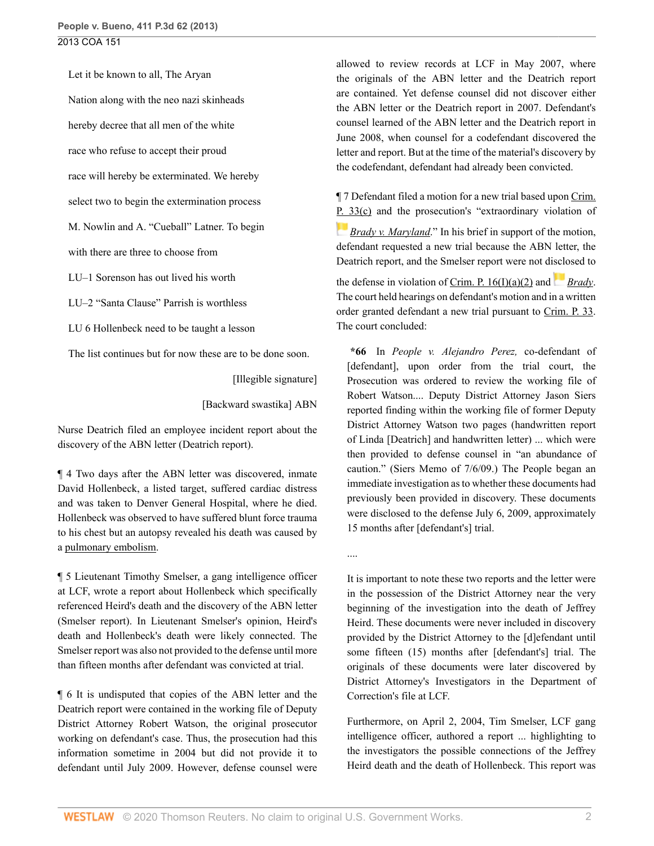Let it be known to all, The Aryan Nation along with the neo nazi skinheads hereby decree that all men of the white race who refuse to accept their proud race will hereby be exterminated. We hereby

select two to begin the extermination process

M. Nowlin and A. "Cueball" Latner. To begin

with there are three to choose from

LU–1 Sorenson has out lived his worth

LU–2 "Santa Clause" Parrish is worthless

LU 6 Hollenbeck need to be taught a lesson

The list continues but for now these are to be done soon.

[Illegible signature]

....

[Backward swastika] ABN

Nurse Deatrich filed an employee incident report about the discovery of the ABN letter (Deatrich report).

¶ 4 Two days after the ABN letter was discovered, inmate David Hollenbeck, a listed target, suffered cardiac distress and was taken to Denver General Hospital, where he died. Hollenbeck was observed to have suffered blunt force trauma to his chest but an autopsy revealed his death was caused by a [pulmonary embolism](http://www.westlaw.com/Link/Document/FullText?entityType=disease&entityId=Ic33f6c66475411db9765f9243f53508a&originationContext=document&transitionType=DocumentItem&contextData=(sc.Default)&vr=3.0&rs=cblt1.0).

¶ 5 Lieutenant Timothy Smelser, a gang intelligence officer at LCF, wrote a report about Hollenbeck which specifically referenced Heird's death and the discovery of the ABN letter (Smelser report). In Lieutenant Smelser's opinion, Heird's death and Hollenbeck's death were likely connected. The Smelser report was also not provided to the defense until more than fifteen months after defendant was convicted at trial.

¶ 6 It is undisputed that copies of the ABN letter and the Deatrich report were contained in the working file of Deputy District Attorney Robert Watson, the original prosecutor working on defendant's case. Thus, the prosecution had this information sometime in 2004 but did not provide it to defendant until July 2009. However, defense counsel were

allowed to review records at LCF in May 2007, where the originals of the ABN letter and the Deatrich report are contained. Yet defense counsel did not discover either the ABN letter or the Deatrich report in 2007. Defendant's counsel learned of the ABN letter and the Deatrich report in June 2008, when counsel for a codefendant discovered the letter and report. But at the time of the material's discovery by the codefendant, defendant had already been convicted.

¶ 7 Defendant filed a motion for a new trial based upon [Crim.](http://www.westlaw.com/Link/Document/FullText?findType=L&pubNum=1005376&cite=COSTRCRPR33&originatingDoc=I02f4eb53529f11e39ac8bab74931929c&refType=LQ&originationContext=document&vr=3.0&rs=cblt1.0&transitionType=DocumentItem&contextData=(sc.Default)) [P. 33\(c\)](http://www.westlaw.com/Link/Document/FullText?findType=L&pubNum=1005376&cite=COSTRCRPR33&originatingDoc=I02f4eb53529f11e39ac8bab74931929c&refType=LQ&originationContext=document&vr=3.0&rs=cblt1.0&transitionType=DocumentItem&contextData=(sc.Default)) and the prosecution's "extraordinary violation of *[Brady v. Maryland](http://www.westlaw.com/Link/Document/FullText?findType=Y&serNum=1963125353&pubNum=0000780&originatingDoc=I02f4eb53529f11e39ac8bab74931929c&refType=RP&originationContext=document&vr=3.0&rs=cblt1.0&transitionType=DocumentItem&contextData=(sc.Default)).*" In his brief in support of the motion, defendant requested a new trial because the ABN letter, the Deatrich report, and the Smelser report were not d[isclo](https://1.next.westlaw.com/Link/RelatedInformation/Flag?documentGuid=I236bf5969c1e11d9bdd1cfdd544ca3a4&transitionType=InlineKeyCiteFlags&originationContext=docHeaderFlag&Rank=0&contextData=(sc.Default) )sed to

the defense in violation of Crim. P.  $16(I)(a)(2)$  and *[Brady](http://www.westlaw.com/Link/Document/FullText?findType=Y&serNum=1963125353&pubNum=0000780&originatingDoc=I02f4eb53529f11e39ac8bab74931929c&refType=RP&originationContext=document&vr=3.0&rs=cblt1.0&transitionType=DocumentItem&contextData=(sc.Default))*. The court held hearings on defendant's motion and in a written order granted defendant a new trial pursuant to [Crim. P. 33.](http://www.westlaw.com/Link/Document/FullText?findType=L&pubNum=1005376&cite=COSTRCRPR33&originatingDoc=I02f4eb53529f11e39ac8bab74931929c&refType=LQ&originationContext=document&vr=3.0&rs=cblt1.0&transitionType=DocumentItem&contextData=(sc.Default)) The court concluded:

**\*66** In *People v. Alejandro Perez,* co-defendant of [defendant], upon order from the trial court, the Prosecution was ordered to review the working file of Robert Watson.... Deputy District Attorney Jason Siers reported finding within the working file of former Deputy District Attorney Watson two pages (handwritten report of Linda [Deatrich] and handwritten letter) ... which were then provided to defense counsel in "an abundance of caution." (Siers Memo of 7/6/09.) The People began an immediate investigation as to whether these documents had previously been provided in discovery. These documents were disclosed to the defense July 6, 2009, approximately 15 months after [defendant's] trial.

It is important to note these two reports and the letter were in the possession of the District Attorney near the very beginning of the investigation into the death of Jeffrey Heird. These documents were never included in discovery provided by the District Attorney to the [d]efendant until some fifteen (15) months after [defendant's] trial. The originals of these documents were later discovered by District Attorney's Investigators in the Department of Correction's file at LCF.

Furthermore, on April 2, 2004, Tim Smelser, LCF gang intelligence officer, authored a report ... highlighting to the investigators the possible connections of the Jeffrey Heird death and the death of Hollenbeck. This report was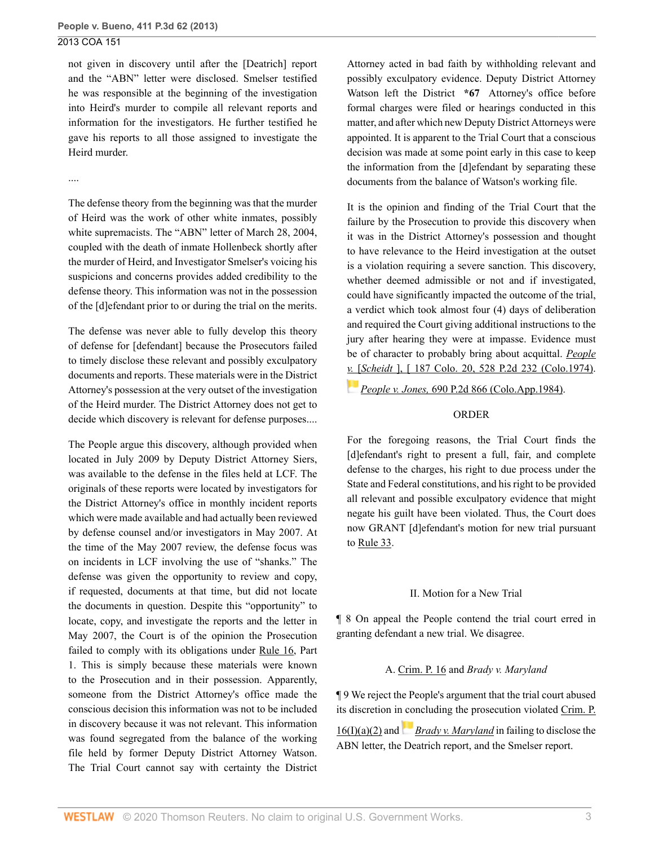not given in discovery until after the [Deatrich] report and the "ABN" letter were disclosed. Smelser testified he was responsible at the beginning of the investigation into Heird's murder to compile all relevant reports and information for the investigators. He further testified he gave his reports to all those assigned to investigate the Heird murder.

#### ....

The defense theory from the beginning was that the murder of Heird was the work of other white inmates, possibly white supremacists. The "ABN" letter of March 28, 2004, coupled with the death of inmate Hollenbeck shortly after the murder of Heird, and Investigator Smelser's voicing his suspicions and concerns provides added credibility to the defense theory. This information was not in the possession of the [d]efendant prior to or during the trial on the merits.

The defense was never able to fully develop this theory of defense for [defendant] because the Prosecutors failed to timely disclose these relevant and possibly exculpatory documents and reports. These materials were in the District Attorney's possession at the very outset of the investigation of the Heird murder. The District Attorney does not get to decide which discovery is relevant for defense purposes....

The People argue this discovery, although provided when located in July 2009 by Deputy District Attorney Siers, was available to the defense in the files held at LCF. The originals of these reports were located by investigators for the District Attorney's office in monthly incident reports which were made available and had actually been reviewed by defense counsel and/or investigators in May 2007. At the time of the May 2007 review, the defense focus was on incidents in LCF involving the use of "shanks." The defense was given the opportunity to review and copy, if requested, documents at that time, but did not locate the documents in question. Despite this "opportunity" to locate, copy, and investigate the reports and the letter in May 2007, the Court is of the opinion the Prosecution failed to comply with its obligations under [Rule 16,](http://www.westlaw.com/Link/Document/FullText?findType=L&pubNum=1005376&cite=COSTRCRPR16&originatingDoc=I02f4eb53529f11e39ac8bab74931929c&refType=LQ&originationContext=document&vr=3.0&rs=cblt1.0&transitionType=DocumentItem&contextData=(sc.Default)) Part 1. This is simply because these materials were known to the Prosecution and in their possession. Apparently, someone from the District Attorney's office made the conscious decision this information was not to be included in discovery because it was not relevant. This information was found segregated from the balance of the working file held by former Deputy District Attorney Watson. The Trial Court cannot say with certainty the District

Attorney acted in bad faith by withholding relevant and possibly exculpatory evidence. Deputy District Attorney Watson left the District **\*67** Attorney's office before formal charges were filed or hearings conducted in this matter, and after which new Deputy District Attorneys were appointed. It is apparent to the Trial Court that a conscious decision was made at some point early in this case to keep the information from the [d]efendant by separating these documents from the balance of Watson's working file.

It is the opinion and finding of the Trial Court that the failure by the Prosecution to provide this discovery when it was in the District Attorney's possession and thought to have relevance to the Heird investigation at the outset is a violation requiring a severe sanction. This discovery, whether deemed admissible or not and if investigated, could have significantly impacted the outcome of the trial, a verdict which took almost four (4) days of deliberation and required the Court giving additional instructions to the jury after hearing they were at impasse. Evidence must be of character to probably bring about acquittal. *[People](http://www.westlaw.com/Link/Document/FullText?findType=Y&serNum=1974126229&pubNum=0000661&originatingDoc=I02f4eb53529f11e39ac8bab74931929c&refType=RP&originationContext=document&vr=3.0&rs=cblt1.0&transitionType=DocumentItem&contextData=(sc.Default)) v.* [\[](https://1.next.westlaw.com/Link/RelatedInformation/Flag?documentGuid=Id9bf2b7ef38311d98ac8f235252e36df&transitionType=InlineKeyCiteFlags&originationContext=docHeaderFlag&Rank=0&contextData=(sc.Default) )*Scheidt* [\], \[ 187 Colo. 20, 528 P.2d 232 \(Colo.1974\).](http://www.westlaw.com/Link/Document/FullText?findType=Y&serNum=1974126229&pubNum=0000661&originatingDoc=I02f4eb53529f11e39ac8bab74931929c&refType=RP&originationContext=document&vr=3.0&rs=cblt1.0&transitionType=DocumentItem&contextData=(sc.Default))

*People v. Jones,* [690 P.2d 866 \(Colo.App.1984\)](http://www.westlaw.com/Link/Document/FullText?findType=Y&serNum=1984154952&pubNum=0000661&originatingDoc=I02f4eb53529f11e39ac8bab74931929c&refType=RP&originationContext=document&vr=3.0&rs=cblt1.0&transitionType=DocumentItem&contextData=(sc.Default)).

## ORDER

For the foregoing reasons, the Trial Court finds the [d]efendant's right to present a full, fair, and complete defense to the charges, his right to due process under the State and Federal constitutions, and his right to be provided all relevant and possible exculpatory evidence that might negate his guilt have been violated. Thus, the Court does now GRANT [d]efendant's motion for new trial pursuant to [Rule 33.](http://www.westlaw.com/Link/Document/FullText?findType=L&pubNum=1005376&cite=COSTRCRPR33&originatingDoc=I02f4eb53529f11e39ac8bab74931929c&refType=LQ&originationContext=document&vr=3.0&rs=cblt1.0&transitionType=DocumentItem&contextData=(sc.Default))

## II. Motion for a New Trial

¶ 8 On appeal the People contend the trial court erred in granting defendant a new trial. We disagree.

## A. [Crim. P. 16](http://www.westlaw.com/Link/Document/FullText?findType=L&pubNum=1005376&cite=COSTRCRPR16&originatingDoc=I02f4eb53529f11e39ac8bab74931929c&refType=LQ&originationContext=document&vr=3.0&rs=cblt1.0&transitionType=DocumentItem&contextData=(sc.Default)) and *Brady v. Maryland*

¶ 9 We reject the People's argument that the trial court abused its discretion i[n con](https://1.next.westlaw.com/Link/RelatedInformation/Flag?documentGuid=I236bf5969c1e11d9bdd1cfdd544ca3a4&transitionType=InlineKeyCiteFlags&originationContext=docHeaderFlag&Rank=0&contextData=(sc.Default) )cluding the prosecution violated [Crim. P.](http://www.westlaw.com/Link/Document/FullText?findType=L&pubNum=1005376&cite=COSTRCRPR16&originatingDoc=I02f4eb53529f11e39ac8bab74931929c&refType=LQ&originationContext=document&vr=3.0&rs=cblt1.0&transitionType=DocumentItem&contextData=(sc.Default))

[16\(I\)\(a\)\(2\)](http://www.westlaw.com/Link/Document/FullText?findType=L&pubNum=1005376&cite=COSTRCRPR16&originatingDoc=I02f4eb53529f11e39ac8bab74931929c&refType=LQ&originationContext=document&vr=3.0&rs=cblt1.0&transitionType=DocumentItem&contextData=(sc.Default)) and *[Brady v. Maryland](http://www.westlaw.com/Link/Document/FullText?findType=Y&serNum=1963125353&pubNum=0000780&originatingDoc=I02f4eb53529f11e39ac8bab74931929c&refType=RP&originationContext=document&vr=3.0&rs=cblt1.0&transitionType=DocumentItem&contextData=(sc.Default))* in failing to disclose the ABN letter, the Deatrich report, and the Smelser report.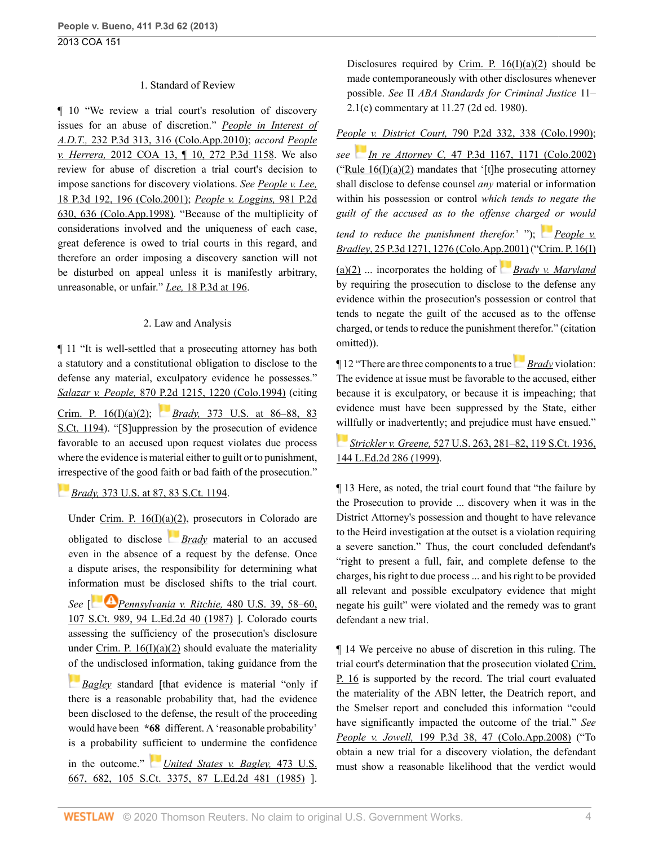#### 1. Standard of Review

¶ 10 "We review a trial court's resolution of discovery issues for an abuse of discretion." *[People in Interest of](http://www.westlaw.com/Link/Document/FullText?findType=Y&serNum=2021869789&pubNum=0004645&originatingDoc=I02f4eb53529f11e39ac8bab74931929c&refType=RP&fi=co_pp_sp_4645_316&originationContext=document&vr=3.0&rs=cblt1.0&transitionType=DocumentItem&contextData=(sc.Default)#co_pp_sp_4645_316) A.D.T.,* [232 P.3d 313, 316 \(Colo.App.2010\)](http://www.westlaw.com/Link/Document/FullText?findType=Y&serNum=2021869789&pubNum=0004645&originatingDoc=I02f4eb53529f11e39ac8bab74931929c&refType=RP&fi=co_pp_sp_4645_316&originationContext=document&vr=3.0&rs=cblt1.0&transitionType=DocumentItem&contextData=(sc.Default)#co_pp_sp_4645_316); *accord [People](http://www.westlaw.com/Link/Document/FullText?findType=Y&serNum=2026978992&pubNum=0004645&originatingDoc=I02f4eb53529f11e39ac8bab74931929c&refType=RP&originationContext=document&vr=3.0&rs=cblt1.0&transitionType=DocumentItem&contextData=(sc.Default)) v. Herrera,* [2012 COA 13, ¶ 10, 272 P.3d 1158.](http://www.westlaw.com/Link/Document/FullText?findType=Y&serNum=2026978992&pubNum=0004645&originatingDoc=I02f4eb53529f11e39ac8bab74931929c&refType=RP&originationContext=document&vr=3.0&rs=cblt1.0&transitionType=DocumentItem&contextData=(sc.Default)) We also review for abuse of discretion a trial court's decision to impose sanctions for discovery violations. *See [People v. Lee,](http://www.westlaw.com/Link/Document/FullText?findType=Y&serNum=2001158957&pubNum=0004645&originatingDoc=I02f4eb53529f11e39ac8bab74931929c&refType=RP&fi=co_pp_sp_4645_196&originationContext=document&vr=3.0&rs=cblt1.0&transitionType=DocumentItem&contextData=(sc.Default)#co_pp_sp_4645_196)* [18 P.3d 192, 196 \(Colo.2001\)](http://www.westlaw.com/Link/Document/FullText?findType=Y&serNum=2001158957&pubNum=0004645&originatingDoc=I02f4eb53529f11e39ac8bab74931929c&refType=RP&fi=co_pp_sp_4645_196&originationContext=document&vr=3.0&rs=cblt1.0&transitionType=DocumentItem&contextData=(sc.Default)#co_pp_sp_4645_196); *[People v. Loggins,](http://www.westlaw.com/Link/Document/FullText?findType=Y&serNum=1998227695&pubNum=0000661&originatingDoc=I02f4eb53529f11e39ac8bab74931929c&refType=RP&fi=co_pp_sp_661_636&originationContext=document&vr=3.0&rs=cblt1.0&transitionType=DocumentItem&contextData=(sc.Default)#co_pp_sp_661_636)* 981 P.2d [630, 636 \(Colo.App.1998\)](http://www.westlaw.com/Link/Document/FullText?findType=Y&serNum=1998227695&pubNum=0000661&originatingDoc=I02f4eb53529f11e39ac8bab74931929c&refType=RP&fi=co_pp_sp_661_636&originationContext=document&vr=3.0&rs=cblt1.0&transitionType=DocumentItem&contextData=(sc.Default)#co_pp_sp_661_636). "Because of the multiplicity of considerations involved and the uniqueness of each case, great deference is owed to trial courts in this regard, and therefore an order imposing a discovery sanction will not be disturbed on appeal unless it is manifestly arbitrary, unreasonable, or unfair." *Lee,* [18 P.3d at 196](http://www.westlaw.com/Link/Document/FullText?findType=Y&serNum=2001158957&pubNum=0004645&originatingDoc=I02f4eb53529f11e39ac8bab74931929c&refType=RP&fi=co_pp_sp_4645_196&originationContext=document&vr=3.0&rs=cblt1.0&transitionType=DocumentItem&contextData=(sc.Default)#co_pp_sp_4645_196).

#### 2. Law and Analysis

¶ 11 "It is well-settled that a prosecuting attorney has both a statutory and a constitutional obligation to disclose to the defense any material, exculpatory evidence he possesses." *Salazar v. People,* [870 P.2d 1215, 1220 \(Colo.1994\)](http://www.westlaw.com/Link/Document/FullText?findType=Y&serNum=1994064432&pubNum=0000661&originatingDoc=I02f4eb53529f11e39ac8bab74931929c&refType=RP&fi=co_pp_sp_661_1220&originationContext=document&vr=3.0&rs=cblt1.0&transitionType=DocumentItem&contextData=(sc.Default)#co_pp_sp_661_1220) (citing [Crim. P. 16\(I\)\(a\)\(2\)](http://www.westlaw.com/Link/Document/FullText?findType=L&pubNum=1005376&cite=COSTRCRPR16&originatingDoc=I02f4eb53529f11e39ac8bab74931929c&refType=LQ&originationContext=document&vr=3.0&rs=cblt1.0&transitionType=DocumentItem&contextData=(sc.Default)); *Brady,* [373 U.S. at 86–88, 83](http://www.westlaw.com/Link/Document/FullText?findType=Y&serNum=1963125353&pubNum=0000780&originatingDoc=I02f4eb53529f11e39ac8bab74931929c&refType=RP&fi=co_pp_sp_780_86&originationContext=document&vr=3.0&rs=cblt1.0&transitionType=DocumentItem&contextData=(sc.Default)#co_pp_sp_780_86) [S.Ct. 1194](http://www.westlaw.com/Link/Document/FullText?findType=Y&serNum=1963125353&pubNum=0000780&originatingDoc=I02f4eb53529f11e39ac8bab74931929c&refType=RP&fi=co_pp_sp_780_86&originationContext=document&vr=3.0&rs=cblt1.0&transitionType=DocumentItem&contextData=(sc.Default)#co_pp_sp_780_86)). "[S]uppression by the prosecution of evidence favorable to an accused upon request violates due process where the evidence is material either to guilt or to punishment, [irre](https://1.next.westlaw.com/Link/RelatedInformation/Flag?documentGuid=I236bf5969c1e11d9bdd1cfdd544ca3a4&transitionType=InlineKeyCiteFlags&originationContext=docHeaderFlag&Rank=0&contextData=(sc.Default) )spective of the good faith or bad faith of the prosecution."

## *Brady,* [373 U.S. at 87, 83 S.Ct. 1194.](http://www.westlaw.com/Link/Document/FullText?findType=Y&serNum=1963125353&pubNum=0000780&originatingDoc=I02f4eb53529f11e39ac8bab74931929c&refType=RP&fi=co_pp_sp_780_87&originationContext=document&vr=3.0&rs=cblt1.0&transitionType=DocumentItem&contextData=(sc.Default)#co_pp_sp_780_87)

Under [Crim. P. 16\(I\)\(a\)\(2\)](http://www.westlaw.com/Link/Document/FullText?findType=L&pubNum=1005376&cite=COSTRCRPR16&originatingDoc=I02f4eb53529f11e39ac8bab74931929c&refType=LQ&originationContext=document&vr=3.0&rs=cblt1.0&transitionType=DocumentItem&contextData=(sc.Default)), prosecutors in Colorado are obligated to disclose *[Brady](http://www.westlaw.com/Link/Document/FullText?findType=Y&serNum=1963125353&pubNum=0000780&originatingDoc=I02f4eb53529f11e39ac8bab74931929c&refType=RP&originationContext=document&vr=3.0&rs=cblt1.0&transitionType=DocumentItem&contextData=(sc.Default))* material to an accused even in the absence of a request by the defense. Once a dispute arises, the responsibility for determining what infor[mation](https://1.next.westlaw.com/Link/RelatedInformation/Flag?documentGuid=I179a2ec69c1f11d993e6d35cc61aab4a&transitionType=InlineKeyCiteFlags&originationContext=docHeaderFlag&Rank=0&contextData=(sc.Default) ) must be disclosed shifts to the trial court.

*See* [ *[Pennsylvania v. Ritchie,](http://www.westlaw.com/Link/Document/FullText?findType=Y&serNum=1987023336&pubNum=0000780&originatingDoc=I02f4eb53529f11e39ac8bab74931929c&refType=RP&fi=co_pp_sp_780_58&originationContext=document&vr=3.0&rs=cblt1.0&transitionType=DocumentItem&contextData=(sc.Default)#co_pp_sp_780_58)* 480 U.S. 39, 58–60, [107 S.Ct. 989, 94 L.Ed.2d 40 \(1987\)](http://www.westlaw.com/Link/Document/FullText?findType=Y&serNum=1987023336&pubNum=0000780&originatingDoc=I02f4eb53529f11e39ac8bab74931929c&refType=RP&fi=co_pp_sp_780_58&originationContext=document&vr=3.0&rs=cblt1.0&transitionType=DocumentItem&contextData=(sc.Default)#co_pp_sp_780_58) ]. Colorado courts assessing the sufficiency of the prosecution's disclosure under Crim. P.  $16(I)(a)(2)$  should evaluate the materiality [of t](https://1.next.westlaw.com/Link/RelatedInformation/Flag?documentGuid=Ic1d899979c1e11d991d0cc6b54f12d4d&transitionType=InlineKeyCiteFlags&originationContext=docHeaderFlag&Rank=0&contextData=(sc.Default) )he undisclosed information, taking guidance from the

*[Bagley](http://www.westlaw.com/Link/Document/FullText?findType=Y&serNum=1985133735&pubNum=0000780&originatingDoc=I02f4eb53529f11e39ac8bab74931929c&refType=RP&originationContext=document&vr=3.0&rs=cblt1.0&transitionType=DocumentItem&contextData=(sc.Default))* standard [that evidence is material "only if there is a reasonable probability that, had the evidence been disclosed to the defense, the result of the proceeding would have been **\*68** different. A 'reasonable probability' is a probability s[uffic](https://1.next.westlaw.com/Link/RelatedInformation/Flag?documentGuid=Ic1d899979c1e11d991d0cc6b54f12d4d&transitionType=InlineKeyCiteFlags&originationContext=docHeaderFlag&Rank=0&contextData=(sc.Default) )ient to undermine the confidence in the outcome." *[United States v. Bagley,](http://www.westlaw.com/Link/Document/FullText?findType=Y&serNum=1985133735&pubNum=0000780&originatingDoc=I02f4eb53529f11e39ac8bab74931929c&refType=RP&fi=co_pp_sp_780_682&originationContext=document&vr=3.0&rs=cblt1.0&transitionType=DocumentItem&contextData=(sc.Default)#co_pp_sp_780_682)* 473 U.S.

[667, 682, 105 S.Ct. 3375, 87 L.Ed.2d 481 \(1985\)](http://www.westlaw.com/Link/Document/FullText?findType=Y&serNum=1985133735&pubNum=0000780&originatingDoc=I02f4eb53529f11e39ac8bab74931929c&refType=RP&fi=co_pp_sp_780_682&originationContext=document&vr=3.0&rs=cblt1.0&transitionType=DocumentItem&contextData=(sc.Default)#co_pp_sp_780_682) ].

Disclosures required by Crim. P.  $16(I)(a)(2)$  should be made contemporaneously with other disclosures whenever possible. *See* II *ABA Standards for Criminal Justice* 11– 2.1(c) commentary at 11.27 (2d ed. 1980).

#### *People v. District Court,* [790 P.2d 332, 338 \(Colo.1990\)](http://www.westlaw.com/Link/Document/FullText?findType=Y&serNum=1990067930&pubNum=0000661&originatingDoc=I02f4eb53529f11e39ac8bab74931929c&refType=RP&fi=co_pp_sp_661_338&originationContext=document&vr=3.0&rs=cblt1.0&transitionType=DocumentItem&contextData=(sc.Default)#co_pp_sp_661_338);

*see [I](https://1.next.westlaw.com/Link/RelatedInformation/Flag?documentGuid=Ibbf0beaaf53c11d9b386b232635db992&transitionType=InlineKeyCiteFlags&originationContext=docHeaderFlag&Rank=0&contextData=(sc.Default) )n re Attorney C,* [47 P.3d 1167, 1171 \(Colo.2002\)](http://www.westlaw.com/Link/Document/FullText?findType=Y&serNum=2002299334&pubNum=0004645&originatingDoc=I02f4eb53529f11e39ac8bab74931929c&refType=RP&fi=co_pp_sp_4645_1171&originationContext=document&vr=3.0&rs=cblt1.0&transitionType=DocumentItem&contextData=(sc.Default)#co_pp_sp_4645_1171) ("Rule  $16(I)(a)(2)$  mandates that '[t]he prosecuting attorney shall disclose to defense counsel *any* material or information within his possession or control *which tends to negate the guilt of the accused as to the offense charg[ed](https://1.next.westlaw.com/Link/RelatedInformation/Flag?documentGuid=Ib99838a4f55011d9b386b232635db992&transitionType=InlineKeyCiteFlags&originationContext=docHeaderFlag&Rank=0&contextData=(sc.Default) ) or would*

*tend to reduce the punishment therefor.*' "); *[People v.](http://www.westlaw.com/Link/Document/FullText?findType=Y&serNum=2001340694&pubNum=0004645&originatingDoc=I02f4eb53529f11e39ac8bab74931929c&refType=RP&fi=co_pp_sp_4645_1276&originationContext=document&vr=3.0&rs=cblt1.0&transitionType=DocumentItem&contextData=(sc.Default)#co_pp_sp_4645_1276) Bradley*[, 25 P.3d 1271, 1276 \(Colo.App.2001\)](http://www.westlaw.com/Link/Document/FullText?findType=Y&serNum=2001340694&pubNum=0004645&originatingDoc=I02f4eb53529f11e39ac8bab74931929c&refType=RP&fi=co_pp_sp_4645_1276&originationContext=document&vr=3.0&rs=cblt1.0&transitionType=DocumentItem&contextData=(sc.Default)#co_pp_sp_4645_1276) ("[Crim. P. 16\(I\)](http://www.westlaw.com/Link/Document/FullText?findType=L&pubNum=1005376&cite=COSTRCRPR16&originatingDoc=I02f4eb53529f11e39ac8bab74931929c&refType=LQ&originationContext=document&vr=3.0&rs=cblt1.0&transitionType=DocumentItem&contextData=(sc.Default))

[\(a\)\(2\)](http://www.westlaw.com/Link/Document/FullText?findType=L&pubNum=1005376&cite=COSTRCRPR16&originatingDoc=I02f4eb53529f11e39ac8bab74931929c&refType=LQ&originationContext=document&vr=3.0&rs=cblt1.0&transitionType=DocumentItem&contextData=(sc.Default)) ... incorporates the holding of *[Brady v. Maryland](http://www.westlaw.com/Link/Document/FullText?findType=Y&serNum=1963125353&pubNum=0000780&originatingDoc=I02f4eb53529f11e39ac8bab74931929c&refType=RP&originationContext=document&vr=3.0&rs=cblt1.0&transitionType=DocumentItem&contextData=(sc.Default))* by requiring the prosecution to disclose to the defense any evidence within the prosecution's possession or control that tends to negate the guilt of the accused as to the offense charged, or tends to reduce the punishment therefor." (citation omitted)).

¶ 12 "There are three components to a true*[Brady](http://www.westlaw.com/Link/Document/FullText?findType=Y&serNum=1963125353&pubNum=0000780&originatingDoc=I02f4eb53529f11e39ac8bab74931929c&refType=RP&originationContext=document&vr=3.0&rs=cblt1.0&transitionType=DocumentItem&contextData=(sc.Default))* violation: The evidence at issue must be favorable to the accused, either because it is exculpatory, or because it is impeaching; that evidence must have been suppressed by the State, either [will](https://1.next.westlaw.com/Link/RelatedInformation/Flag?documentGuid=I1d1d62429c9711d993e6d35cc61aab4a&transitionType=InlineKeyCiteFlags&originationContext=docHeaderFlag&Rank=0&contextData=(sc.Default) )fully or inadvertently; and prejudice must have ensued."

# *Strickler v. Greene,* [527 U.S. 263, 281–82, 119 S.Ct. 1936,](http://www.westlaw.com/Link/Document/FullText?findType=Y&serNum=1999142645&pubNum=0000780&originatingDoc=I02f4eb53529f11e39ac8bab74931929c&refType=RP&fi=co_pp_sp_780_281&originationContext=document&vr=3.0&rs=cblt1.0&transitionType=DocumentItem&contextData=(sc.Default)#co_pp_sp_780_281) [144 L.Ed.2d 286 \(1999\)](http://www.westlaw.com/Link/Document/FullText?findType=Y&serNum=1999142645&pubNum=0000780&originatingDoc=I02f4eb53529f11e39ac8bab74931929c&refType=RP&fi=co_pp_sp_780_281&originationContext=document&vr=3.0&rs=cblt1.0&transitionType=DocumentItem&contextData=(sc.Default)#co_pp_sp_780_281).

¶ 13 Here, as noted, the trial court found that "the failure by the Prosecution to provide ... discovery when it was in the District Attorney's possession and thought to have relevance to the Heird investigation at the outset is a violation requiring a severe sanction." Thus, the court concluded defendant's "right to present a full, fair, and complete defense to the charges, his right to due process ... and his right to be provided all relevant and possible exculpatory evidence that might negate his guilt" were violated and the remedy was to grant defendant a new trial.

¶ 14 We perceive no abuse of discretion in this ruling. The trial court's determination that the prosecution violated [Crim.](http://www.westlaw.com/Link/Document/FullText?findType=L&pubNum=1005376&cite=COSTRCRPR16&originatingDoc=I02f4eb53529f11e39ac8bab74931929c&refType=LQ&originationContext=document&vr=3.0&rs=cblt1.0&transitionType=DocumentItem&contextData=(sc.Default)) [P. 16](http://www.westlaw.com/Link/Document/FullText?findType=L&pubNum=1005376&cite=COSTRCRPR16&originatingDoc=I02f4eb53529f11e39ac8bab74931929c&refType=LQ&originationContext=document&vr=3.0&rs=cblt1.0&transitionType=DocumentItem&contextData=(sc.Default)) is supported by the record. The trial court evaluated the materiality of the ABN letter, the Deatrich report, and the Smelser report and concluded this information "could have significantly impacted the outcome of the trial." *See People v. Jowell,* [199 P.3d 38, 47 \(Colo.App.2008\)](http://www.westlaw.com/Link/Document/FullText?findType=Y&serNum=2014844270&pubNum=0004645&originatingDoc=I02f4eb53529f11e39ac8bab74931929c&refType=RP&fi=co_pp_sp_4645_47&originationContext=document&vr=3.0&rs=cblt1.0&transitionType=DocumentItem&contextData=(sc.Default)#co_pp_sp_4645_47) ("To obtain a new trial for a discovery violation, the defendant must show a reasonable likelihood that the verdict would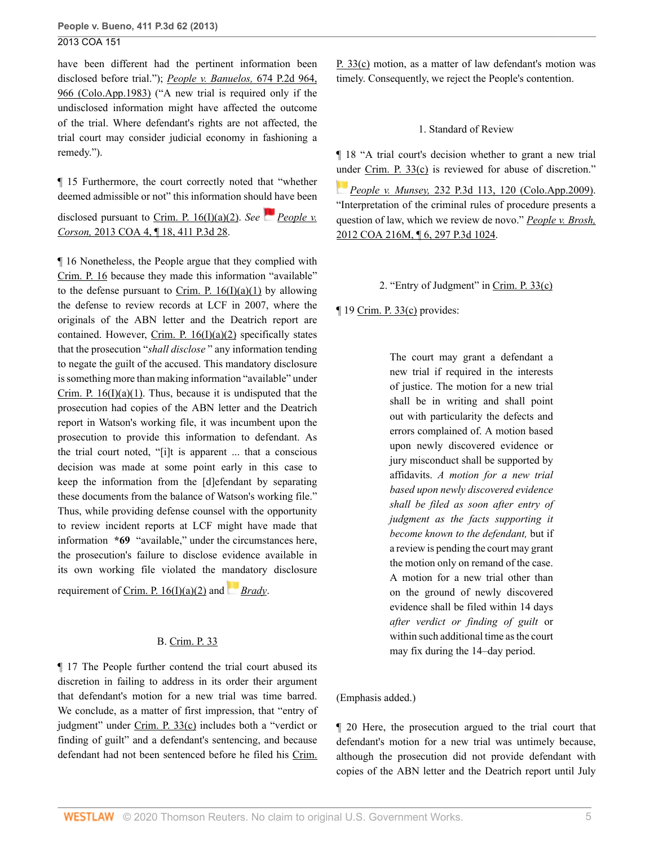have been different had the pertinent information been disclosed before trial."); *[People v. Banuelos,](http://www.westlaw.com/Link/Document/FullText?findType=Y&serNum=1984103809&pubNum=0000661&originatingDoc=I02f4eb53529f11e39ac8bab74931929c&refType=RP&fi=co_pp_sp_661_966&originationContext=document&vr=3.0&rs=cblt1.0&transitionType=DocumentItem&contextData=(sc.Default)#co_pp_sp_661_966)* 674 P.2d 964, [966 \(Colo.App.1983\)](http://www.westlaw.com/Link/Document/FullText?findType=Y&serNum=1984103809&pubNum=0000661&originatingDoc=I02f4eb53529f11e39ac8bab74931929c&refType=RP&fi=co_pp_sp_661_966&originationContext=document&vr=3.0&rs=cblt1.0&transitionType=DocumentItem&contextData=(sc.Default)#co_pp_sp_661_966) ("A new trial is required only if the undisclosed information might have affected the outcome of the trial. Where defendant's rights are not affected, the trial court may consider judicial economy in fashioning a remedy.").

¶ 15 Furthermore, the court correctly noted that "whether deemed admissible or not" this information should have been

disclosed pursuant to Crim. P.  $16(1)(a)(2)$ . *See [People v.](http://www.westlaw.com/Link/Document/FullText?findType=Y&serNum=2029662748&pubNum=0004645&originatingDoc=I02f4eb53529f11e39ac8bab74931929c&refType=RP&originationContext=document&vr=3.0&rs=cblt1.0&transitionType=DocumentItem&contextData=(sc.Default)) Corson,* [2013 COA 4, ¶ 18, 411 P.3d 28](http://www.westlaw.com/Link/Document/FullText?findType=Y&serNum=2029662748&pubNum=0004645&originatingDoc=I02f4eb53529f11e39ac8bab74931929c&refType=RP&originationContext=document&vr=3.0&rs=cblt1.0&transitionType=DocumentItem&contextData=(sc.Default)).

¶ 16 Nonetheless, the People argue that they complied with [Crim. P. 16](http://www.westlaw.com/Link/Document/FullText?findType=L&pubNum=1005376&cite=COSTRCRPR16&originatingDoc=I02f4eb53529f11e39ac8bab74931929c&refType=LQ&originationContext=document&vr=3.0&rs=cblt1.0&transitionType=DocumentItem&contextData=(sc.Default)) because they made this information "available" to the defense pursuant to Crim. P.  $16(I)(a)(1)$  by allowing the defense to review records at LCF in 2007, where the originals of the ABN letter and the Deatrich report are contained. However, Crim. P.  $16(I)(a)(2)$  specifically states that the prosecution "*shall disclose* " any information tending to negate the guilt of the accused. This mandatory disclosure is something more than making information "available" under Crim. P.  $16(I)(a)(1)$ . Thus, because it is undisputed that the prosecution had copies of the ABN letter and the Deatrich report in Watson's working file, it was incumbent upon the prosecution to provide this information to defendant. As the trial court noted, "[i]t is apparent ... that a conscious decision was made at some point early in this case to keep the information from the [d]efendant by separating these documents from the balance of Watson's working file." Thus, while providing defense counsel with the opportunity to review incident reports at LCF might have made that information **\*69** "available," under the circumstances here, the prosecution's failure to disclose evidence available in its own working file violated the [mand](https://1.next.westlaw.com/Link/RelatedInformation/Flag?documentGuid=I236bf5969c1e11d9bdd1cfdd544ca3a4&transitionType=InlineKeyCiteFlags&originationContext=docHeaderFlag&Rank=0&contextData=(sc.Default) )atory disclosure

requirement of Crim. P.  $16(I)(a)(2)$  and *[Brady](http://www.westlaw.com/Link/Document/FullText?findType=Y&serNum=1963125353&pubNum=0000780&originatingDoc=I02f4eb53529f11e39ac8bab74931929c&refType=RP&originationContext=document&vr=3.0&rs=cblt1.0&transitionType=DocumentItem&contextData=(sc.Default))*.

### B. [Crim. P. 33](http://www.westlaw.com/Link/Document/FullText?findType=L&pubNum=1005376&cite=COSTRCRPR33&originatingDoc=I02f4eb53529f11e39ac8bab74931929c&refType=LQ&originationContext=document&vr=3.0&rs=cblt1.0&transitionType=DocumentItem&contextData=(sc.Default))

¶ 17 The People further contend the trial court abused its discretion in failing to address in its order their argument that defendant's motion for a new trial was time barred. We conclude, as a matter of first impression, that "entry of judgment" under [Crim. P. 33\(c\)](http://www.westlaw.com/Link/Document/FullText?findType=L&pubNum=1005376&cite=COSTRCRPR33&originatingDoc=I02f4eb53529f11e39ac8bab74931929c&refType=LQ&originationContext=document&vr=3.0&rs=cblt1.0&transitionType=DocumentItem&contextData=(sc.Default)) includes both a "verdict or finding of guilt" and a defendant's sentencing, and because defendant had not been sentenced before he filed his [Crim.](http://www.westlaw.com/Link/Document/FullText?findType=L&pubNum=1005376&cite=COSTRCRPR33&originatingDoc=I02f4eb53529f11e39ac8bab74931929c&refType=LQ&originationContext=document&vr=3.0&rs=cblt1.0&transitionType=DocumentItem&contextData=(sc.Default))

[P. 33\(c\)](http://www.westlaw.com/Link/Document/FullText?findType=L&pubNum=1005376&cite=COSTRCRPR33&originatingDoc=I02f4eb53529f11e39ac8bab74931929c&refType=LQ&originationContext=document&vr=3.0&rs=cblt1.0&transitionType=DocumentItem&contextData=(sc.Default)) motion, as a matter of law defendant's motion was timely. Consequently, we reject the People's contention.

### 1. Standard of Review

¶ 18 "A trial court's decision whether to grant a new trial [und](https://1.next.westlaw.com/Link/RelatedInformation/Flag?documentGuid=Iccf77f814ba611dea82ab9f4ee295c21&transitionType=InlineKeyCiteFlags&originationContext=docHeaderFlag&Rank=0&contextData=(sc.Default) )er [Crim. P. 33\(c\)](http://www.westlaw.com/Link/Document/FullText?findType=L&pubNum=1005376&cite=COSTRCRPR33&originatingDoc=I02f4eb53529f11e39ac8bab74931929c&refType=LQ&originationContext=document&vr=3.0&rs=cblt1.0&transitionType=DocumentItem&contextData=(sc.Default)) is reviewed for abuse of discretion."

*People v. Munsey,* [232 P.3d 113, 120 \(Colo.App.2009\)](http://www.westlaw.com/Link/Document/FullText?findType=Y&serNum=2018922626&pubNum=0004645&originatingDoc=I02f4eb53529f11e39ac8bab74931929c&refType=RP&fi=co_pp_sp_4645_120&originationContext=document&vr=3.0&rs=cblt1.0&transitionType=DocumentItem&contextData=(sc.Default)#co_pp_sp_4645_120). "Interpretation of the criminal rules of procedure presents a question of law, which we review de novo." *[People v. Brosh,](http://www.westlaw.com/Link/Document/FullText?findType=Y&serNum=2029526331&pubNum=0004645&originatingDoc=I02f4eb53529f11e39ac8bab74931929c&refType=RP&originationContext=document&vr=3.0&rs=cblt1.0&transitionType=DocumentItem&contextData=(sc.Default))* [2012 COA 216M, ¶ 6, 297 P.3d 1024.](http://www.westlaw.com/Link/Document/FullText?findType=Y&serNum=2029526331&pubNum=0004645&originatingDoc=I02f4eb53529f11e39ac8bab74931929c&refType=RP&originationContext=document&vr=3.0&rs=cblt1.0&transitionType=DocumentItem&contextData=(sc.Default))

2. "Entry of Judgment" in [Crim. P. 33\(c\)](http://www.westlaw.com/Link/Document/FullText?findType=L&pubNum=1005376&cite=COSTRCRPR33&originatingDoc=I02f4eb53529f11e39ac8bab74931929c&refType=LQ&originationContext=document&vr=3.0&rs=cblt1.0&transitionType=DocumentItem&contextData=(sc.Default))

¶ 19 [Crim. P. 33\(c\)](http://www.westlaw.com/Link/Document/FullText?findType=L&pubNum=1005376&cite=COSTRCRPR33&originatingDoc=I02f4eb53529f11e39ac8bab74931929c&refType=LQ&originationContext=document&vr=3.0&rs=cblt1.0&transitionType=DocumentItem&contextData=(sc.Default)) provides:

The court may grant a defendant a new trial if required in the interests of justice. The motion for a new trial shall be in writing and shall point out with particularity the defects and errors complained of. A motion based upon newly discovered evidence or jury misconduct shall be supported by affidavits. *A motion for a new trial based upon newly discovered evidence shall be filed as soon after entry of judgment as the facts supporting it become known to the defendant,* but if a review is pending the court may grant the motion only on remand of the case. A motion for a new trial other than on the ground of newly discovered evidence shall be filed within 14 days *after verdict or finding of guilt* or within such additional time as the court may fix during the 14–day period.

### (Emphasis added.)

¶ 20 Here, the prosecution argued to the trial court that defendant's motion for a new trial was untimely because, although the prosecution did not provide defendant with copies of the ABN letter and the Deatrich report until July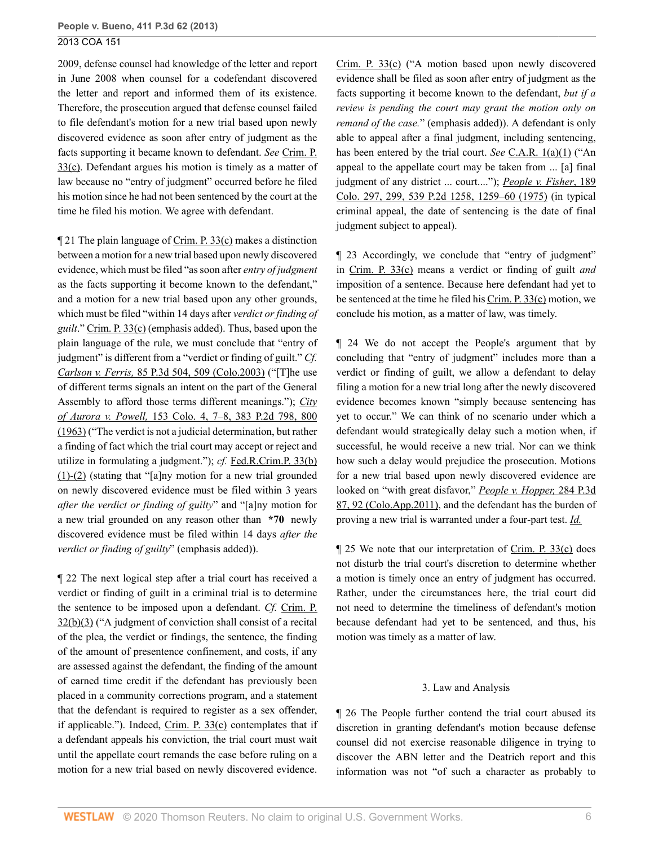2009, defense counsel had knowledge of the letter and report in June 2008 when counsel for a codefendant discovered the letter and report and informed them of its existence. Therefore, the prosecution argued that defense counsel failed to file defendant's motion for a new trial based upon newly discovered evidence as soon after entry of judgment as the facts supporting it became known to defendant. *See* [Crim. P.](http://www.westlaw.com/Link/Document/FullText?findType=L&pubNum=1005376&cite=COSTRCRPR33&originatingDoc=I02f4eb53529f11e39ac8bab74931929c&refType=LQ&originationContext=document&vr=3.0&rs=cblt1.0&transitionType=DocumentItem&contextData=(sc.Default)) [33\(c\)](http://www.westlaw.com/Link/Document/FullText?findType=L&pubNum=1005376&cite=COSTRCRPR33&originatingDoc=I02f4eb53529f11e39ac8bab74931929c&refType=LQ&originationContext=document&vr=3.0&rs=cblt1.0&transitionType=DocumentItem&contextData=(sc.Default)). Defendant argues his motion is timely as a matter of law because no "entry of judgment" occurred before he filed his motion since he had not been sentenced by the court at the time he filed his motion. We agree with defendant.

¶ 21 The plain language of [Crim. P. 33\(c\)](http://www.westlaw.com/Link/Document/FullText?findType=L&pubNum=1005376&cite=COSTRCRPR33&originatingDoc=I02f4eb53529f11e39ac8bab74931929c&refType=LQ&originationContext=document&vr=3.0&rs=cblt1.0&transitionType=DocumentItem&contextData=(sc.Default)) makes a distinction between a motion for a new trial based upon newly discovered evidence, which must be filed "as soon after *entry of judgment* as the facts supporting it become known to the defendant," and a motion for a new trial based upon any other grounds, which must be filed "within 14 days after *verdict or finding of guilt*." [Crim. P. 33\(c\)](http://www.westlaw.com/Link/Document/FullText?findType=L&pubNum=1005376&cite=COSTRCRPR33&originatingDoc=I02f4eb53529f11e39ac8bab74931929c&refType=LQ&originationContext=document&vr=3.0&rs=cblt1.0&transitionType=DocumentItem&contextData=(sc.Default)) (emphasis added). Thus, based upon the plain language of the rule, we must conclude that "entry of judgment" is different from a "verdict or finding of guilt." *Cf. Carlson v. Ferris,* [85 P.3d 504, 509 \(Colo.2003\)](http://www.westlaw.com/Link/Document/FullText?findType=Y&serNum=2003884086&pubNum=0004645&originatingDoc=I02f4eb53529f11e39ac8bab74931929c&refType=RP&fi=co_pp_sp_4645_509&originationContext=document&vr=3.0&rs=cblt1.0&transitionType=DocumentItem&contextData=(sc.Default)#co_pp_sp_4645_509) ("[T]he use of different terms signals an intent on the part of the General Assembly to afford those terms different meanings."); *[City](http://www.westlaw.com/Link/Document/FullText?findType=Y&serNum=1963124251&pubNum=0000661&originatingDoc=I02f4eb53529f11e39ac8bab74931929c&refType=RP&fi=co_pp_sp_661_800&originationContext=document&vr=3.0&rs=cblt1.0&transitionType=DocumentItem&contextData=(sc.Default)#co_pp_sp_661_800) of Aurora v. Powell,* [153 Colo. 4, 7–8, 383 P.2d 798, 800](http://www.westlaw.com/Link/Document/FullText?findType=Y&serNum=1963124251&pubNum=0000661&originatingDoc=I02f4eb53529f11e39ac8bab74931929c&refType=RP&fi=co_pp_sp_661_800&originationContext=document&vr=3.0&rs=cblt1.0&transitionType=DocumentItem&contextData=(sc.Default)#co_pp_sp_661_800) [\(1963\)](http://www.westlaw.com/Link/Document/FullText?findType=Y&serNum=1963124251&pubNum=0000661&originatingDoc=I02f4eb53529f11e39ac8bab74931929c&refType=RP&fi=co_pp_sp_661_800&originationContext=document&vr=3.0&rs=cblt1.0&transitionType=DocumentItem&contextData=(sc.Default)#co_pp_sp_661_800) ("The verdict is not a judicial determination, but rather a finding of fact which the trial court may accept or reject and utilize in formulating a judgment."); *cf.* [Fed.R.Crim.P. 33\(b\)](http://www.westlaw.com/Link/Document/FullText?findType=L&pubNum=1000598&cite=USFRCRPR33&originatingDoc=I02f4eb53529f11e39ac8bab74931929c&refType=LQ&originationContext=document&vr=3.0&rs=cblt1.0&transitionType=DocumentItem&contextData=(sc.Default)) [\(1\)-\(2\)](http://www.westlaw.com/Link/Document/FullText?findType=L&pubNum=1000598&cite=USFRCRPR33&originatingDoc=I02f4eb53529f11e39ac8bab74931929c&refType=LQ&originationContext=document&vr=3.0&rs=cblt1.0&transitionType=DocumentItem&contextData=(sc.Default)) (stating that "[a]ny motion for a new trial grounded on newly discovered evidence must be filed within 3 years *after the verdict or finding of guilty*" and "[a]ny motion for a new trial grounded on any reason other than **\*70** newly discovered evidence must be filed within 14 days *after the verdict or finding of guilty*" (emphasis added)).

¶ 22 The next logical step after a trial court has received a verdict or finding of guilt in a criminal trial is to determine the sentence to be imposed upon a defendant. *Cf.* [Crim. P.](http://www.westlaw.com/Link/Document/FullText?findType=L&pubNum=1005376&cite=COSTRCRPR32&originatingDoc=I02f4eb53529f11e39ac8bab74931929c&refType=LQ&originationContext=document&vr=3.0&rs=cblt1.0&transitionType=DocumentItem&contextData=(sc.Default)) [32\(b\)\(3\)](http://www.westlaw.com/Link/Document/FullText?findType=L&pubNum=1005376&cite=COSTRCRPR32&originatingDoc=I02f4eb53529f11e39ac8bab74931929c&refType=LQ&originationContext=document&vr=3.0&rs=cblt1.0&transitionType=DocumentItem&contextData=(sc.Default)) ("A judgment of conviction shall consist of a recital of the plea, the verdict or findings, the sentence, the finding of the amount of presentence confinement, and costs, if any are assessed against the defendant, the finding of the amount of earned time credit if the defendant has previously been placed in a community corrections program, and a statement that the defendant is required to register as a sex offender, if applicable."). Indeed,  $Crim.$  P.  $33(c)$  contemplates that if a defendant appeals his conviction, the trial court must wait until the appellate court remands the case before ruling on a motion for a new trial based on newly discovered evidence.

[Crim. P. 33\(c\)](http://www.westlaw.com/Link/Document/FullText?findType=L&pubNum=1005376&cite=COSTRCRPR33&originatingDoc=I02f4eb53529f11e39ac8bab74931929c&refType=LQ&originationContext=document&vr=3.0&rs=cblt1.0&transitionType=DocumentItem&contextData=(sc.Default)) ("A motion based upon newly discovered evidence shall be filed as soon after entry of judgment as the facts supporting it become known to the defendant, *but if a review is pending the court may grant the motion only on remand of the case.*" (emphasis added)). A defendant is only able to appeal after a final judgment, including sentencing, has been entered by the trial court. *See* [C.A.R. 1\(a\)\(1\)](http://www.westlaw.com/Link/Document/FullText?findType=L&pubNum=1005372&cite=COSTACTR1&originatingDoc=I02f4eb53529f11e39ac8bab74931929c&refType=LQ&originationContext=document&vr=3.0&rs=cblt1.0&transitionType=DocumentItem&contextData=(sc.Default)) ("An appeal to the appellate court may be taken from ... [a] final judgment of any district ... court...."); *[People v. Fisher](http://www.westlaw.com/Link/Document/FullText?findType=Y&serNum=1975128012&pubNum=0000661&originatingDoc=I02f4eb53529f11e39ac8bab74931929c&refType=RP&fi=co_pp_sp_661_1259&originationContext=document&vr=3.0&rs=cblt1.0&transitionType=DocumentItem&contextData=(sc.Default)#co_pp_sp_661_1259)*, 189 [Colo. 297, 299, 539 P.2d 1258, 1259–60 \(1975\)](http://www.westlaw.com/Link/Document/FullText?findType=Y&serNum=1975128012&pubNum=0000661&originatingDoc=I02f4eb53529f11e39ac8bab74931929c&refType=RP&fi=co_pp_sp_661_1259&originationContext=document&vr=3.0&rs=cblt1.0&transitionType=DocumentItem&contextData=(sc.Default)#co_pp_sp_661_1259) (in typical criminal appeal, the date of sentencing is the date of final judgment subject to appeal).

¶ 23 Accordingly, we conclude that "entry of judgment" in [Crim. P. 33\(c\)](http://www.westlaw.com/Link/Document/FullText?findType=L&pubNum=1005376&cite=COSTRCRPR33&originatingDoc=I02f4eb53529f11e39ac8bab74931929c&refType=LQ&originationContext=document&vr=3.0&rs=cblt1.0&transitionType=DocumentItem&contextData=(sc.Default)) means a verdict or finding of guilt *and* imposition of a sentence. Because here defendant had yet to be sentenced at the time he filed his [Crim. P. 33\(c\)](http://www.westlaw.com/Link/Document/FullText?findType=L&pubNum=1005376&cite=COSTRCRPR33&originatingDoc=I02f4eb53529f11e39ac8bab74931929c&refType=LQ&originationContext=document&vr=3.0&rs=cblt1.0&transitionType=DocumentItem&contextData=(sc.Default)) motion, we conclude his motion, as a matter of law, was timely.

¶ 24 We do not accept the People's argument that by concluding that "entry of judgment" includes more than a verdict or finding of guilt, we allow a defendant to delay filing a motion for a new trial long after the newly discovered evidence becomes known "simply because sentencing has yet to occur." We can think of no scenario under which a defendant would strategically delay such a motion when, if successful, he would receive a new trial. Nor can we think how such a delay would prejudice the prosecution. Motions for a new trial based upon newly discovered evidence are looked on "with great disfavor," *[People v. Hopper,](http://www.westlaw.com/Link/Document/FullText?findType=Y&serNum=2025628989&pubNum=0004645&originatingDoc=I02f4eb53529f11e39ac8bab74931929c&refType=RP&fi=co_pp_sp_4645_92&originationContext=document&vr=3.0&rs=cblt1.0&transitionType=DocumentItem&contextData=(sc.Default)#co_pp_sp_4645_92)* 284 P.3d [87, 92 \(Colo.App.2011\)](http://www.westlaw.com/Link/Document/FullText?findType=Y&serNum=2025628989&pubNum=0004645&originatingDoc=I02f4eb53529f11e39ac8bab74931929c&refType=RP&fi=co_pp_sp_4645_92&originationContext=document&vr=3.0&rs=cblt1.0&transitionType=DocumentItem&contextData=(sc.Default)#co_pp_sp_4645_92), and the defendant has the burden of proving a new trial is warranted under a four-part test. *[Id.](http://www.westlaw.com/Link/Document/FullText?findType=Y&serNum=2025628989&pubNum=0004645&originatingDoc=I02f4eb53529f11e39ac8bab74931929c&refType=RP&originationContext=document&vr=3.0&rs=cblt1.0&transitionType=DocumentItem&contextData=(sc.Default))*

¶ 25 We note that our interpretation of [Crim. P. 33\(c\)](http://www.westlaw.com/Link/Document/FullText?findType=L&pubNum=1005376&cite=COSTRCRPR33&originatingDoc=I02f4eb53529f11e39ac8bab74931929c&refType=LQ&originationContext=document&vr=3.0&rs=cblt1.0&transitionType=DocumentItem&contextData=(sc.Default)) does not disturb the trial court's discretion to determine whether a motion is timely once an entry of judgment has occurred. Rather, under the circumstances here, the trial court did not need to determine the timeliness of defendant's motion because defendant had yet to be sentenced, and thus, his motion was timely as a matter of law.

### 3. Law and Analysis

¶ 26 The People further contend the trial court abused its discretion in granting defendant's motion because defense counsel did not exercise reasonable diligence in trying to discover the ABN letter and the Deatrich report and this information was not "of such a character as probably to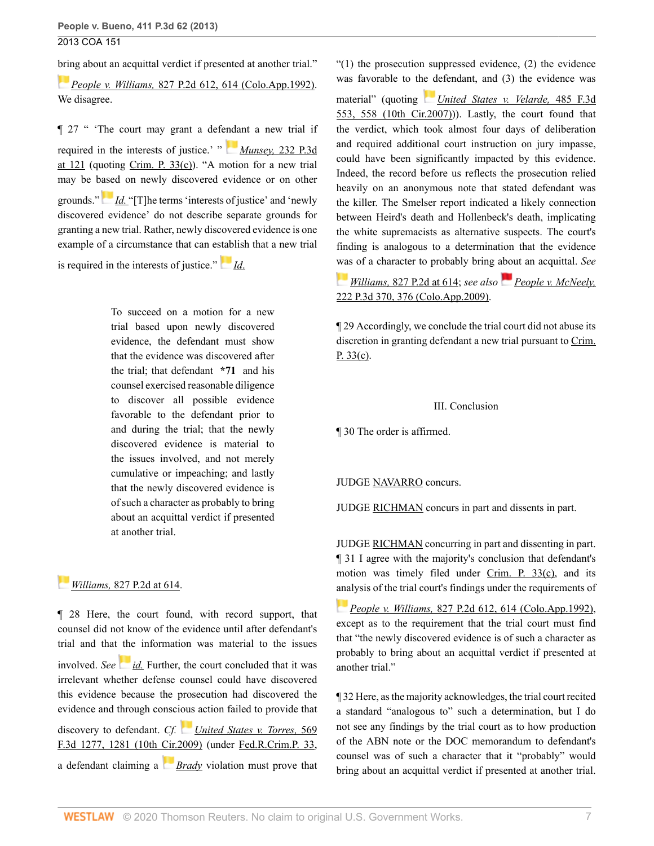[brin](https://1.next.westlaw.com/Link/RelatedInformation/Flag?documentGuid=If0c9f4c4f5a011d9bf60c1d57ebc853e&transitionType=InlineKeyCiteFlags&originationContext=docHeaderFlag&Rank=0&contextData=(sc.Default) )g about an acquittal verdict if presented at another trial."

*People v. Williams,* [827 P.2d 612, 614 \(Colo.App.1992\)](http://www.westlaw.com/Link/Document/FullText?findType=Y&serNum=1992051519&pubNum=0000661&originatingDoc=I02f4eb53529f11e39ac8bab74931929c&refType=RP&fi=co_pp_sp_661_614&originationContext=document&vr=3.0&rs=cblt1.0&transitionType=DocumentItem&contextData=(sc.Default)#co_pp_sp_661_614). We disagree.

¶ 27 " 'The court may grant a defe[nda](https://1.next.westlaw.com/Link/RelatedInformation/Flag?documentGuid=Iccf77f814ba611dea82ab9f4ee295c21&transitionType=InlineKeyCiteFlags&originationContext=docHeaderFlag&Rank=0&contextData=(sc.Default) )nt a new trial if required in the interests of justice.' " *Munsey,* [232 P.3d](http://www.westlaw.com/Link/Document/FullText?findType=Y&serNum=2018922626&pubNum=0004645&originatingDoc=I02f4eb53529f11e39ac8bab74931929c&refType=RP&fi=co_pp_sp_4645_121&originationContext=document&vr=3.0&rs=cblt1.0&transitionType=DocumentItem&contextData=(sc.Default)#co_pp_sp_4645_121) at  $121$  (quoting [Crim. P. 33\(c\)\)](http://www.westlaw.com/Link/Document/FullText?findType=L&pubNum=1005376&cite=COSTRCRPR33&originatingDoc=I02f4eb53529f11e39ac8bab74931929c&refType=LQ&originationContext=document&vr=3.0&rs=cblt1.0&transitionType=DocumentItem&contextData=(sc.Default)). "A motion for a new trial may be b[ased](https://1.next.westlaw.com/Link/RelatedInformation/Flag?documentGuid=Iccf77f814ba611dea82ab9f4ee295c21&transitionType=InlineKeyCiteFlags&originationContext=docHeaderFlag&Rank=0&contextData=(sc.Default) ) on newly discovered evidence or on other grounds." *[Id.](http://www.westlaw.com/Link/Document/FullText?findType=Y&serNum=2018922626&pubNum=0004645&originatingDoc=I02f4eb53529f11e39ac8bab74931929c&refType=RP&originationContext=document&vr=3.0&rs=cblt1.0&transitionType=DocumentItem&contextData=(sc.Default))* "[T]he terms 'interests of justice' and 'newly discovered evidence' do not describe separate grounds for granting a new trial. Rather, newly discovered evidence is one example of a circumstance that can e[stab](https://1.next.westlaw.com/Link/RelatedInformation/Flag?documentGuid=Iccf77f814ba611dea82ab9f4ee295c21&transitionType=InlineKeyCiteFlags&originationContext=docHeaderFlag&Rank=0&contextData=(sc.Default) )lish that a new trial

is required in the interests of justice." *[Id](http://www.westlaw.com/Link/Document/FullText?findType=Y&serNum=2018922626&pubNum=0004645&originatingDoc=I02f4eb53529f11e39ac8bab74931929c&refType=RP&originationContext=document&vr=3.0&rs=cblt1.0&transitionType=DocumentItem&contextData=(sc.Default))*.

To succeed on a motion for a new trial based upon newly discovered evidence, the defendant must show that the evidence was discovered after the trial; that defendant **\*71** and his counsel exercised reasonable diligence to discover all possible evidence favorable to the defendant prior to and during the trial; that the newly discovered evidence is material to the issues involved, and not merely cumulative or impeaching; and lastly that the newly discovered evidence is of such a character as probably to bring about an acquittal verdict if presented at another trial.

## *[W](https://1.next.westlaw.com/Link/RelatedInformation/Flag?documentGuid=If0c9f4c4f5a011d9bf60c1d57ebc853e&transitionType=InlineKeyCiteFlags&originationContext=docHeaderFlag&Rank=0&contextData=(sc.Default) )illiams,* [827 P.2d at 614](http://www.westlaw.com/Link/Document/FullText?findType=Y&serNum=1992051519&pubNum=0000661&originatingDoc=I02f4eb53529f11e39ac8bab74931929c&refType=RP&fi=co_pp_sp_661_614&originationContext=document&vr=3.0&rs=cblt1.0&transitionType=DocumentItem&contextData=(sc.Default)#co_pp_sp_661_614).

¶ 28 Here, the court found, with record support, that counsel did not know of the evidence until after defendant's trial and that the information was material to the issues involved. *See [id.](http://www.westlaw.com/Link/Document/FullText?findType=Y&serNum=1992051519&pubNum=0000661&originatingDoc=I02f4eb53529f11e39ac8bab74931929c&refType=RP&originationContext=document&vr=3.0&rs=cblt1.0&transitionType=DocumentItem&contextData=(sc.Default))* Further, the court concluded that it was irrelevant whether defense counsel could have discovered this evidence because the prosecution had discovered the evidence and through conscious action failed to provide that discovery to defendant. *Cf. [United States v. Torres,](http://www.westlaw.com/Link/Document/FullText?findType=Y&serNum=2019243263&pubNum=0000506&originatingDoc=I02f4eb53529f11e39ac8bab74931929c&refType=RP&fi=co_pp_sp_506_1281&originationContext=document&vr=3.0&rs=cblt1.0&transitionType=DocumentItem&contextData=(sc.Default)#co_pp_sp_506_1281)* 569 [F.3d 1277, 1281 \(10th Cir.2009\)](http://www.westlaw.com/Link/Document/FullText?findType=Y&serNum=2019243263&pubNum=0000506&originatingDoc=I02f4eb53529f11e39ac8bab74931929c&refType=RP&fi=co_pp_sp_506_1281&originationContext=document&vr=3.0&rs=cblt1.0&transitionType=DocumentItem&contextData=(sc.Default)#co_pp_sp_506_1281) (under [Fed.R.Crim.P. 33](http://www.westlaw.com/Link/Document/FullText?findType=L&pubNum=1000598&cite=USFRCRPR33&originatingDoc=I02f4eb53529f11e39ac8bab74931929c&refType=LQ&originationContext=document&vr=3.0&rs=cblt1.0&transitionType=DocumentItem&contextData=(sc.Default)), a defendant claiming a *[Brady](http://www.westlaw.com/Link/Document/FullText?findType=Y&serNum=1963125353&pubNum=0000780&originatingDoc=I02f4eb53529f11e39ac8bab74931929c&refType=RP&originationContext=document&vr=3.0&rs=cblt1.0&transitionType=DocumentItem&contextData=(sc.Default))* violation must prove that  $(1)$  the prosecution suppressed evidence,  $(2)$  the evidence was favorable to th[e d](https://1.next.westlaw.com/Link/RelatedInformation/Flag?documentGuid=I0a370268f7ff11dbb92c924f6a2d2928&transitionType=InlineKeyCiteFlags&originationContext=docHeaderFlag&Rank=0&contextData=(sc.Default) )efendant, and (3) the evidence was

material" (quoting *[United States v. Velarde,](http://www.westlaw.com/Link/Document/FullText?findType=Y&serNum=2012137811&pubNum=0000506&originatingDoc=I02f4eb53529f11e39ac8bab74931929c&refType=RP&fi=co_pp_sp_506_558&originationContext=document&vr=3.0&rs=cblt1.0&transitionType=DocumentItem&contextData=(sc.Default)#co_pp_sp_506_558)* 485 F.3d [553, 558 \(10th Cir.2007\)](http://www.westlaw.com/Link/Document/FullText?findType=Y&serNum=2012137811&pubNum=0000506&originatingDoc=I02f4eb53529f11e39ac8bab74931929c&refType=RP&fi=co_pp_sp_506_558&originationContext=document&vr=3.0&rs=cblt1.0&transitionType=DocumentItem&contextData=(sc.Default)#co_pp_sp_506_558))). Lastly, the court found that the verdict, which took almost four days of deliberation and required additional court instruction on jury impasse, could have been significantly impacted by this evidence. Indeed, the record before us reflects the prosecution relied heavily on an anonymous note that stated defendant was the killer. The Smelser report indicated a likely connection between Heird's death and Hollenbeck's death, implicating the white supremacists as alternative suspects. The court's finding is analogous to a determination that the evidence [was](https://1.next.westlaw.com/Link/RelatedInformation/Flag?documentGuid=If0c9f4c4f5a011d9bf60c1d57ebc853e&transitionType=InlineKeyCiteFlags&originationContext=docHeaderFlag&Rank=0&contextData=(sc.Default) ) of a character to probably bring about an acquittal. *See*

## *Williams,* [827 P.2d at 614](http://www.westlaw.com/Link/Document/FullText?findType=Y&serNum=1992051519&pubNum=0000661&originatingDoc=I02f4eb53529f11e39ac8bab74931929c&refType=RP&fi=co_pp_sp_661_614&originationContext=document&vr=3.0&rs=cblt1.0&transitionType=DocumentItem&contextData=(sc.Default)#co_pp_sp_661_614); *see also [People v. McNeely,](http://www.westlaw.com/Link/Document/FullText?findType=Y&serNum=2018922612&pubNum=0004645&originatingDoc=I02f4eb53529f11e39ac8bab74931929c&refType=RP&fi=co_pp_sp_4645_376&originationContext=document&vr=3.0&rs=cblt1.0&transitionType=DocumentItem&contextData=(sc.Default)#co_pp_sp_4645_376)* [222 P.3d 370, 376 \(Colo.App.2009\).](http://www.westlaw.com/Link/Document/FullText?findType=Y&serNum=2018922612&pubNum=0004645&originatingDoc=I02f4eb53529f11e39ac8bab74931929c&refType=RP&fi=co_pp_sp_4645_376&originationContext=document&vr=3.0&rs=cblt1.0&transitionType=DocumentItem&contextData=(sc.Default)#co_pp_sp_4645_376)

¶ 29 Accordingly, we conclude the trial court did not abuse its discretion in granting defendant a new trial pursuant to [Crim.](http://www.westlaw.com/Link/Document/FullText?findType=L&pubNum=1005376&cite=COSTRCRPR33&originatingDoc=I02f4eb53529f11e39ac8bab74931929c&refType=LQ&originationContext=document&vr=3.0&rs=cblt1.0&transitionType=DocumentItem&contextData=(sc.Default)) [P. 33\(c\).](http://www.westlaw.com/Link/Document/FullText?findType=L&pubNum=1005376&cite=COSTRCRPR33&originatingDoc=I02f4eb53529f11e39ac8bab74931929c&refType=LQ&originationContext=document&vr=3.0&rs=cblt1.0&transitionType=DocumentItem&contextData=(sc.Default))

#### III. Conclusion

¶ 30 The order is affirmed.

### JUDGE [NAVARRO](http://www.westlaw.com/Link/Document/FullText?findType=h&pubNum=176284&cite=0253674201&originatingDoc=I02f4eb53529f11e39ac8bab74931929c&refType=RQ&originationContext=document&vr=3.0&rs=cblt1.0&transitionType=DocumentItem&contextData=(sc.Default)) concurs.

JUDGE [RICHMAN](http://www.westlaw.com/Link/Document/FullText?findType=h&pubNum=176284&cite=0308502801&originatingDoc=I02f4eb53529f11e39ac8bab74931929c&refType=RQ&originationContext=document&vr=3.0&rs=cblt1.0&transitionType=DocumentItem&contextData=(sc.Default)) concurs in part and dissents in part.

JUDGE [RICHMAN](http://www.westlaw.com/Link/Document/FullText?findType=h&pubNum=176284&cite=0308502801&originatingDoc=I02f4eb53529f11e39ac8bab74931929c&refType=RQ&originationContext=document&vr=3.0&rs=cblt1.0&transitionType=DocumentItem&contextData=(sc.Default)) concurring in part and dissenting in part. ¶ 31 I agree with the majority's conclusion that defendant's motion was timely filed under [Crim. P. 33\(c\)](http://www.westlaw.com/Link/Document/FullText?findType=L&pubNum=1005376&cite=COSTRCRPR33&originatingDoc=I02f4eb53529f11e39ac8bab74931929c&refType=LQ&originationContext=document&vr=3.0&rs=cblt1.0&transitionType=DocumentItem&contextData=(sc.Default)), and its [ana](https://1.next.westlaw.com/Link/RelatedInformation/Flag?documentGuid=If0c9f4c4f5a011d9bf60c1d57ebc853e&transitionType=InlineKeyCiteFlags&originationContext=docHeaderFlag&Rank=0&contextData=(sc.Default) )lysis of the trial court's findings under the requirements of

*People v. Williams,* [827 P.2d 612, 614 \(Colo.App.1992\)](http://www.westlaw.com/Link/Document/FullText?findType=Y&serNum=1992051519&pubNum=0000661&originatingDoc=I02f4eb53529f11e39ac8bab74931929c&refType=RP&fi=co_pp_sp_661_614&originationContext=document&vr=3.0&rs=cblt1.0&transitionType=DocumentItem&contextData=(sc.Default)#co_pp_sp_661_614), except as to the requirement that the trial court must find that "the newly discovered evidence is of such a character as probably to bring about an acquittal verdict if presented at another trial."

¶ 32 Here, as the majority acknowledges, the trial court recited a standard "analogous to" such a determination, but I do not see any findings by the trial court as to how production of the ABN note or the DOC memorandum to defendant's counsel was of such a character that it "probably" would bring about an acquittal verdict if presented at another trial.